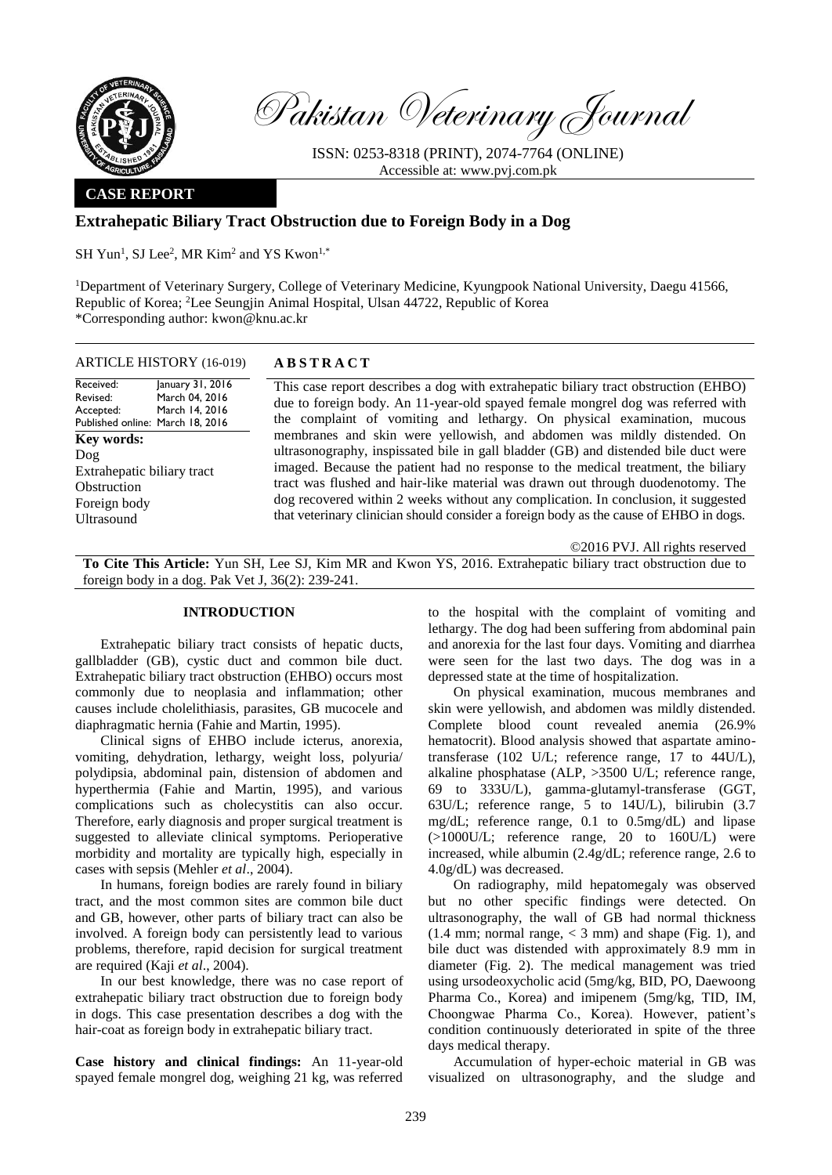

Pakistan Veterinary Journal

ISSN: 0253-8318 (PRINT), 2074-7764 (ONLINE) Accessible at: [www.pvj.com.pk](http://www.pvj.com.pk/)

## **CASE REPORT**

# **Extrahepatic Biliary Tract Obstruction due to Foreign Body in a Dog**

SH Yun<sup>1</sup>, SJ Lee<sup>2</sup>, MR Kim<sup>2</sup> and YS Kwon<sup>1,\*</sup>

<sup>1</sup>Department of Veterinary Surgery, College of Veterinary Medicine, Kyungpook National University, Daegu 41566, Republic of Korea; <sup>2</sup>Lee Seungjin Animal Hospital, Ulsan 44722, Republic of Korea \*Corresponding author: kwon@knu.ac.kr

### ARTICLE HISTORY (16-019) **A B S T R A C T**

Received: Revised: Accepted: Published online: March 18, 2016 January 31, 2016 March 04, 2016 March 14, 2016 **Key words:**  Dog Extrahepatic biliary tract **Obstruction** Foreign body Ultrasound

This case report describes a dog with extrahepatic biliary tract obstruction (EHBO) due to foreign body. An 11-year-old spayed female mongrel dog was referred with the complaint of vomiting and lethargy. On physical examination, mucous membranes and skin were yellowish, and abdomen was mildly distended. On ultrasonography, inspissated bile in gall bladder (GB) and distended bile duct were imaged. Because the patient had no response to the medical treatment, the biliary tract was flushed and hair-like material was drawn out through duodenotomy. The dog recovered within 2 weeks without any complication. In conclusion, it suggested that veterinary clinician should consider a foreign body as the cause of EHBO in dogs.

©2016 PVJ. All rights reserved

**To Cite This Article:** Yun SH, Lee SJ, Kim MR and Kwon YS, 2016. Extrahepatic biliary tract obstruction due to foreign body in a dog. Pak Vet J, 36(2): 239-241.

## **INTRODUCTION**

Extrahepatic biliary tract consists of hepatic ducts, gallbladder (GB), cystic duct and common bile duct. Extrahepatic biliary tract obstruction (EHBO) occurs most commonly due to neoplasia and inflammation; other causes include cholelithiasis, parasites, GB mucocele and diaphragmatic hernia (Fahie and Martin, 1995).

Clinical signs of EHBO include icterus, anorexia, vomiting, dehydration, lethargy, weight loss, polyuria/ polydipsia, abdominal pain, distension of abdomen and hyperthermia (Fahie and Martin, 1995), and various complications such as cholecystitis can also occur. Therefore, early diagnosis and proper surgical treatment is suggested to alleviate clinical symptoms. Perioperative morbidity and mortality are typically high, especially in cases with sepsis (Mehler *et al*., 2004).

In humans, foreign bodies are rarely found in biliary tract, and the most common sites are common bile duct and GB, however, other parts of biliary tract can also be involved. A foreign body can persistently lead to various problems, therefore, rapid decision for surgical treatment are required (Kaji *et al*., 2004).

In our best knowledge, there was no case report of extrahepatic biliary tract obstruction due to foreign body in dogs. This case presentation describes a dog with the hair-coat as foreign body in extrahepatic biliary tract.

**Case history and clinical findings:** An 11-year-old spayed female mongrel dog, weighing 21 kg, was referred to the hospital with the complaint of vomiting and lethargy. The dog had been suffering from abdominal pain and anorexia for the last four days. Vomiting and diarrhea were seen for the last two days. The dog was in a depressed state at the time of hospitalization.

On physical examination, mucous membranes and skin were yellowish, and abdomen was mildly distended. Complete blood count revealed anemia (26.9% hematocrit). Blood analysis showed that aspartate aminotransferase (102 U/L; reference range, 17 to 44U/L), alkaline phosphatase (ALP, >3500 U/L; reference range, 69 to 333U/L), gamma-glutamyl-transferase (GGT, 63U/L; reference range, 5 to 14U/L), bilirubin (3.7 mg/dL; reference range, 0.1 to 0.5mg/dL) and lipase (>1000U/L; reference range, 20 to 160U/L) were increased, while albumin (2.4g/dL; reference range, 2.6 to 4.0g/dL) was decreased.

On radiography, mild hepatomegaly was observed but no other specific findings were detected. On ultrasonography, the wall of GB had normal thickness  $(1.4 \text{ mm}; \text{ normal range}, < 3 \text{ mm})$  and shape (Fig. 1), and bile duct was distended with approximately 8.9 mm in diameter (Fig. 2). The medical management was tried using ursodeoxycholic acid (5mg/kg, BID, PO, Daewoong Pharma Co., Korea) and imipenem (5mg/kg, TID, IM, Choongwae Pharma Co., Korea). However, patient's condition continuously deteriorated in spite of the three days medical therapy.

Accumulation of hyper-echoic material in GB was visualized on ultrasonography, and the sludge and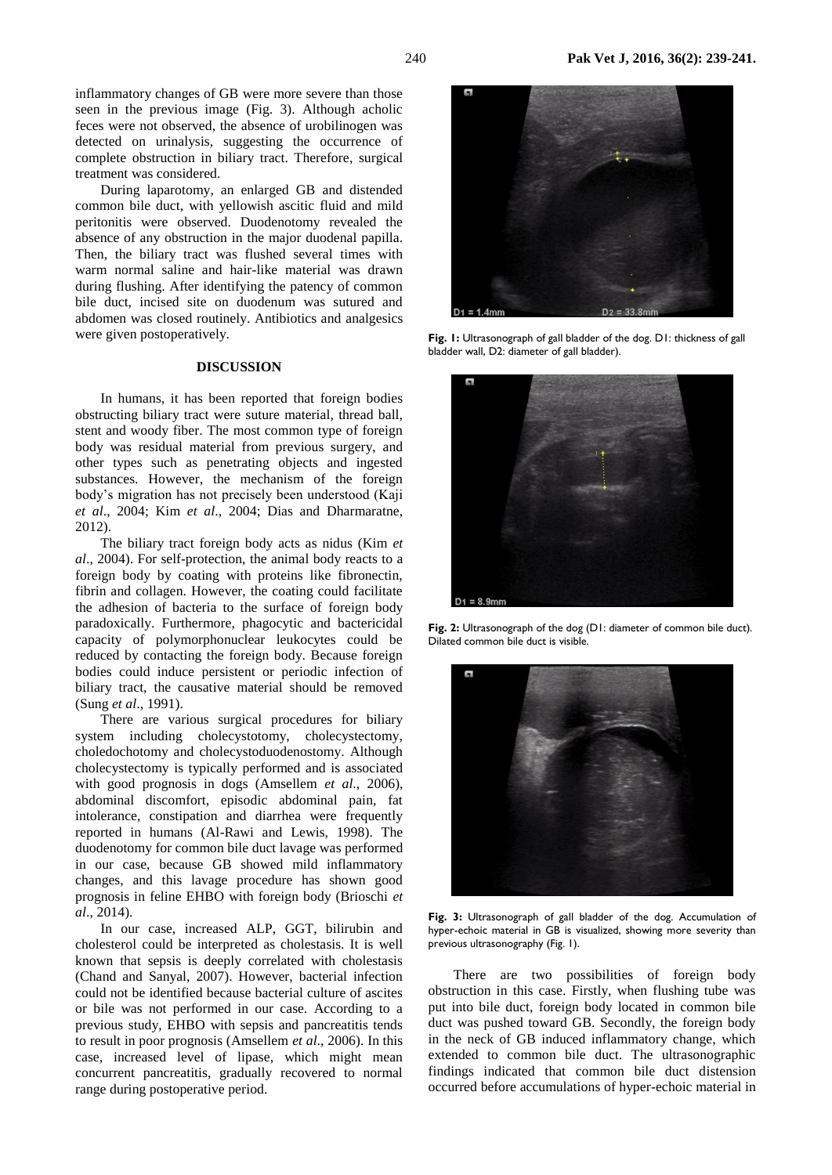inflammatory changes of GB were more severe than those seen in the previous image (Fig. 3). Although acholic feces were not observed, the absence of urobilinogen was detected on urinalysis, suggesting the occurrence of complete obstruction in biliary tract. Therefore, surgical treatment was considered.

During laparotomy, an enlarged GB and distended common bile duct, with yellowish ascitic fluid and mild peritonitis were observed. Duodenotomy revealed the absence of any obstruction in the major duodenal papilla. Then, the biliary tract was flushed several times with warm normal saline and hair-like material was drawn during flushing. After identifying the patency of common bile duct, incised site on duodenum was sutured and abdomen was closed routinely. Antibiotics and analgesics were given postoperatively.

#### **DISCUSSION**

In humans, it has been reported that foreign bodies obstructing biliary tract were suture material, thread ball, stent and woody fiber. The most common type of foreign body was residual material from previous surgery, and other types such as penetrating objects and ingested substances. However, the mechanism of the foreign body's migration has not precisely been understood (Kaji *et al*., 2004; Kim *et al*., 2004; Dias and Dharmaratne, 2012).

The biliary tract foreign body acts as nidus (Kim *et al*., 2004). For self-protection, the animal body reacts to a foreign body by coating with proteins like fibronectin, fibrin and collagen. However, the coating could facilitate the adhesion of bacteria to the surface of foreign body paradoxically. Furthermore, phagocytic and bactericidal capacity of polymorphonuclear leukocytes could be reduced by contacting the foreign body. Because foreign bodies could induce persistent or periodic infection of biliary tract, the causative material should be removed (Sung *et al*., 1991).

There are various surgical procedures for biliary system including cholecystotomy, cholecystectomy, choledochotomy and cholecystoduodenostomy. Although cholecystectomy is typically performed and is associated with good prognosis in dogs (Amsellem *et al*., 2006), abdominal discomfort, episodic abdominal pain, fat intolerance, constipation and diarrhea were frequently reported in humans (Al-Rawi and Lewis, 1998). The duodenotomy for common bile duct lavage was performed in our case, because GB showed mild inflammatory changes, and this lavage procedure has shown good prognosis in feline EHBO with foreign body (Brioschi *et al*., 2014).

In our case, increased ALP, GGT, bilirubin and cholesterol could be interpreted as cholestasis. It is well known that sepsis is deeply correlated with cholestasis (Chand and Sanyal, 2007). However, bacterial infection could not be identified because bacterial culture of ascites or bile was not performed in our case. According to a previous study, EHBO with sepsis and pancreatitis tends to result in poor prognosis (Amsellem *et al*., 2006). In this case, increased level of lipase, which might mean concurrent pancreatitis, gradually recovered to normal range during postoperative period.



**Fig. 1:** Ultrasonograph of gall bladder of the dog. D1: thickness of gall bladder wall, D2: diameter of gall bladder).



**Fig. 2:** Ultrasonograph of the dog (D1: diameter of common bile duct). Dilated common bile duct is visible.



**Fig. 3:** Ultrasonograph of gall bladder of the dog. Accumulation of hyper-echoic material in GB is visualized, showing more severity than previous ultrasonography (Fig. 1).

There are two possibilities of foreign body obstruction in this case. Firstly, when flushing tube was put into bile duct, foreign body located in common bile duct was pushed toward GB. Secondly, the foreign body in the neck of GB induced inflammatory change, which extended to common bile duct. The ultrasonographic findings indicated that common bile duct distension occurred before accumulations of hyper-echoic material in